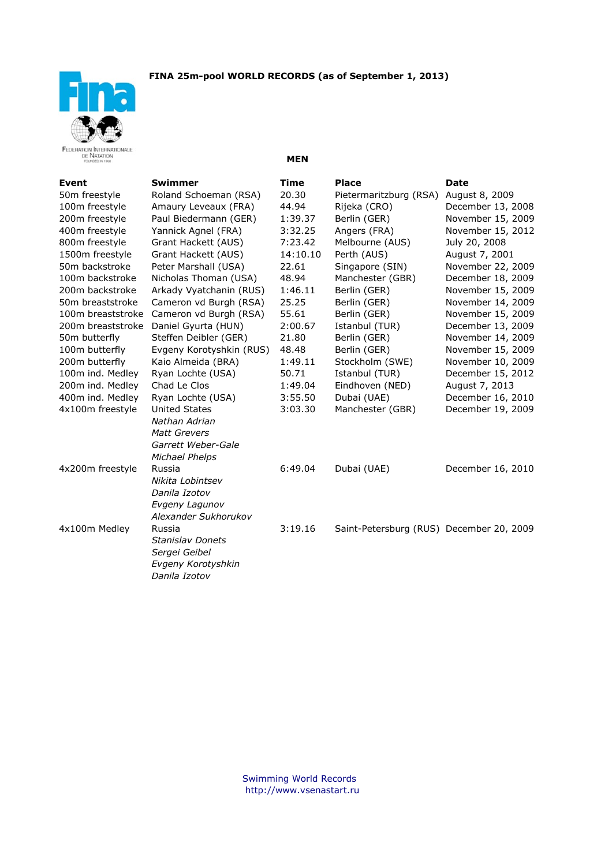



**MEN** 

| Event                        | <b>Swimmer</b>           | <b>Time</b> | <b>Place</b>                             | <b>Date</b>       |
|------------------------------|--------------------------|-------------|------------------------------------------|-------------------|
| 50m freestyle                | Roland Schoeman (RSA)    | 20.30       | Pietermaritzburg (RSA)                   | August 8, 2009    |
| 100m freestyle               | Amaury Leveaux (FRA)     | 44.94       | Rijeka (CRO)                             | December 13, 2008 |
| 200m freestyle               | Paul Biedermann (GER)    | 1:39.37     | Berlin (GER)                             | November 15, 2009 |
| 400m freestyle               | Yannick Agnel (FRA)      | 3:32.25     | Angers (FRA)                             | November 15, 2012 |
| 800m freestyle               | Grant Hackett (AUS)      | 7:23.42     | Melbourne (AUS)                          | July 20, 2008     |
| 1500m freestyle              | Grant Hackett (AUS)      | 14:10.10    | Perth (AUS)                              | August 7, 2001    |
| 50m backstroke               | Peter Marshall (USA)     | 22.61       | Singapore (SIN)                          | November 22, 2009 |
| 100m backstroke              | Nicholas Thoman (USA)    | 48.94       | Manchester (GBR)                         | December 18, 2009 |
| 200m backstroke              | Arkady Vyatchanin (RUS)  | 1:46.11     | Berlin (GER)                             | November 15, 2009 |
| 50 <sub>m</sub> breaststroke | Cameron vd Burgh (RSA)   | 25.25       | Berlin (GER)                             | November 14, 2009 |
| 100m breaststroke            | Cameron vd Burgh (RSA)   | 55.61       | Berlin (GER)                             | November 15, 2009 |
| 200m breaststroke            | Daniel Gyurta (HUN)      | 2:00.67     | Istanbul (TUR)                           | December 13, 2009 |
| 50 <sub>m</sub> butterfly    | Steffen Deibler (GER)    | 21.80       | Berlin (GER)                             | November 14, 2009 |
| 100m butterfly               | Evgeny Korotyshkin (RUS) | 48.48       | Berlin (GER)                             | November 15, 2009 |
| 200m butterfly               | Kaio Almeida (BRA)       | 1:49.11     | Stockholm (SWE)                          | November 10, 2009 |
| 100m ind. Medley             | Ryan Lochte (USA)        | 50.71       | Istanbul (TUR)                           | December 15, 2012 |
| 200m ind. Medley             | Chad Le Clos             | 1:49.04     | Eindhoven (NED)                          | August 7, 2013    |
| 400m ind. Medley             | Ryan Lochte (USA)        | 3:55.50     | Dubai (UAE)                              | December 16, 2010 |
| 4x100m freestyle             | <b>United States</b>     | 3:03.30     | Manchester (GBR)                         | December 19, 2009 |
|                              | Nathan Adrian            |             |                                          |                   |
|                              | <b>Matt Grevers</b>      |             |                                          |                   |
|                              | Garrett Weber-Gale       |             |                                          |                   |
|                              | <b>Michael Phelps</b>    |             |                                          |                   |
| 4x200m freestyle             | Russia                   | 6:49.04     | Dubai (UAE)                              | December 16, 2010 |
|                              | Nikita Lobintsev         |             |                                          |                   |
|                              | Danila Izotov            |             |                                          |                   |
|                              | Evgeny Lagunov           |             |                                          |                   |
|                              | Alexander Sukhorukov     |             |                                          |                   |
| 4x100m Medley                | Russia                   | 3:19.16     | Saint-Petersburg (RUS) December 20, 2009 |                   |
|                              | <b>Stanislav Donets</b>  |             |                                          |                   |
|                              | Sergei Geibel            |             |                                          |                   |
|                              | Evgeny Korotyshkin       |             |                                          |                   |
|                              | Danila Izotov            |             |                                          |                   |